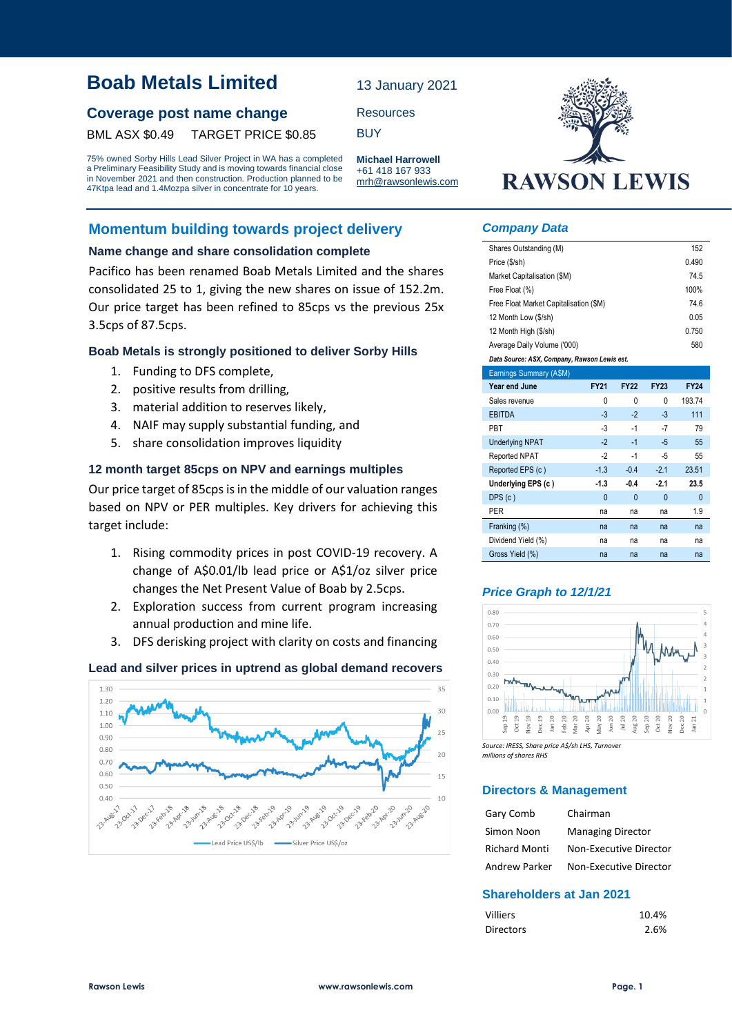# **Boab Metals Limited**

# **Coverage post name change** Resources

BML ASX \$0.49 TARGET PRICE \$0.85 BUY

75% owned Sorby Hills Lead Silver Project in WA has a completed a Preliminary Feasibility Study and is moving towards financial close in November 2021 and then construction. Production planned to be 47Ktpa lead and 1.4Mozpa silver in concentrate for 10 years.

# **Momentum building towards project delivery**

## **Name change and share consolidation complete**

Pacifico has been renamed Boab Metals Limited and the shares consolidated 25 to 1, giving the new shares on issue of 152.2m. Our price target has been refined to 85cps vs the previous 25x 3.5cps of 87.5cps.

### **Boab Metals is strongly positioned to deliver Sorby Hills**

- 1. Funding to DFS complete,
- 2. positive results from drilling,
- 3. material addition to reserves likely,
- 4. NAIF may supply substantial funding, and
- 5. share consolidation improves liquidity

### **12 month target 85cps on NPV and earnings multiples**

Our price target of 85cps is in the middle of our valuation ranges based on NPV or PER multiples. Key drivers for achieving this target include:

- 1. Rising commodity prices in post COVID-19 recovery. A change of A\$0.01/lb lead price or A\$1/oz silver price changes the Net Present Value of Boab by 2.5cps.
- 2. Exploration success from current program increasing annual production and mine life.
- 3. DFS derisking project with clarity on costs and financing

### **Lead and silver prices in uptrend as global demand recovers**





#### *Company Data*

13 January 2021

**Michael Harrowell** +61 418 167 933 mrh@rawsonlewis.com

| Shares Outstanding (M)                       |              |             |              | 152          |  |  |  |  |
|----------------------------------------------|--------------|-------------|--------------|--------------|--|--|--|--|
| Price (\$/sh)                                |              |             |              | 0.490        |  |  |  |  |
| Market Capitalisation (\$M)                  |              |             |              | 74.5         |  |  |  |  |
| 100%<br>Free Float (%)                       |              |             |              |              |  |  |  |  |
| Free Float Market Capitalisation (\$M)       |              |             |              | 74.6         |  |  |  |  |
| 12 Month Low (\$/sh)                         | 0.05         |             |              |              |  |  |  |  |
| 12 Month High (\$/sh)                        |              |             |              | 0.750        |  |  |  |  |
| Average Daily Volume ('000)                  |              |             |              | 580          |  |  |  |  |
| Data Source: ASX, Company, Rawson Lewis est. |              |             |              |              |  |  |  |  |
| Earnings Summary (A\$M)                      |              |             |              |              |  |  |  |  |
| Year end June                                | <b>FY21</b>  | <b>FY22</b> | <b>FY23</b>  | <b>FY24</b>  |  |  |  |  |
| Sales revenue                                | 0            | 0           | 0            | 193.74       |  |  |  |  |
| <b>EBITDA</b>                                | $-3$         | $-2$        | $-3$         | 111          |  |  |  |  |
| <b>PBT</b>                                   | $-3$         | $-1$        | $-7$         | 79           |  |  |  |  |
| <b>Underlying NPAT</b>                       | $-2$         | $-1$        | $-5$         | 55           |  |  |  |  |
| <b>Reported NPAT</b>                         | $-2$         | $-1$        | -5           | 55           |  |  |  |  |
| Reported EPS (c)                             | $-1.3$       | $-0.4$      | $-2.1$       | 23.51        |  |  |  |  |
| Underlying EPS (c)                           | $-1.3$       | $-0.4$      | $-2.1$       | 23.5         |  |  |  |  |
| DPS(c)                                       | $\mathbf{0}$ | 0           | $\mathbf{0}$ | $\mathbf{0}$ |  |  |  |  |
| <b>PER</b>                                   | na           | na          | na           | 1.9          |  |  |  |  |
| Franking (%)                                 | na           | na          | na           | na           |  |  |  |  |
| Dividend Yield (%)                           | na           | na          | na           | na           |  |  |  |  |
| Gross Yield (%)                              | na           | na          | na           | na           |  |  |  |  |

## *Price Graph to 12/1/21*



*Source: IRESS, Share price A\$/sh LHS, Turnover millions of shares RHS*

### **Directors & Management**

| Gary Comb            | Chairman                 |
|----------------------|--------------------------|
| Simon Noon           | <b>Managing Director</b> |
| <b>Richard Monti</b> | Non-Executive Director   |
| Andrew Parker        | Non-Executive Director   |

# **Shareholders at Jan 2021**

| <b>Villiers</b>  | 10.4% |
|------------------|-------|
| <b>Directors</b> | 2.6%  |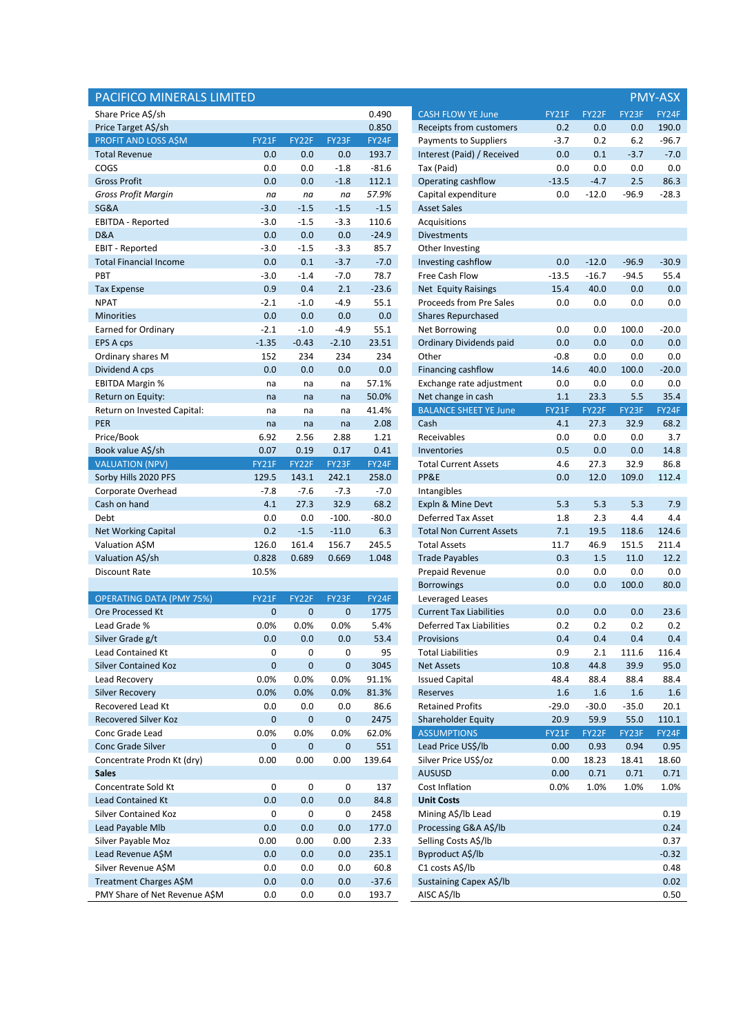| PACIFICO MINERALS LIMITED       |             |             |             |         |                                 |         |         |         | <b>PMY-ASX</b>   |
|---------------------------------|-------------|-------------|-------------|---------|---------------------------------|---------|---------|---------|------------------|
| Share Price A\$/sh              |             |             |             | 0.490   | <b>CASH FLOW YE June</b>        | FY21F   | FY22F   | FY23F   | FY24F            |
| Price Target A\$/sh             |             |             |             | 0.850   | Receipts from customers         | 0.2     | 0.0     | 0.0     | 190.0            |
| PROFIT AND LOSS A\$M            | FY21F       | FY22F       | FY23F       | FY24F   | <b>Payments to Suppliers</b>    | $-3.7$  | 0.2     | $6.2$   | $-96.7$          |
| <b>Total Revenue</b>            | 0.0         | 0.0         | 0.0         | 193.7   | Interest (Paid) / Received      | 0.0     | 0.1     | $-3.7$  | $-7.0$           |
| COGS                            | 0.0         | 0.0         | $-1.8$      | $-81.6$ | Tax (Paid)                      | 0.0     | 0.0     | 0.0     | 0.0              |
| <b>Gross Profit</b>             | 0.0         | 0.0         | $-1.8$      | 112.1   | Operating cashflow              | $-13.5$ | $-4.7$  | 2.5     | 86.3             |
| <b>Gross Profit Margin</b>      | na          | na          | na          | 57.9%   | Capital expenditure             | 0.0     | $-12.0$ | $-96.9$ | $-28.3$          |
| SG&A                            | $-3.0$      | $-1.5$      | $-1.5$      | $-1.5$  | <b>Asset Sales</b>              |         |         |         |                  |
| <b>EBITDA - Reported</b>        | $-3.0$      | $-1.5$      | $-3.3$      | 110.6   | Acquisitions                    |         |         |         |                  |
| D&A                             | 0.0         | 0.0         | 0.0         | $-24.9$ | <b>Divestments</b>              |         |         |         |                  |
| <b>EBIT - Reported</b>          | $-3.0$      | $-1.5$      | $-3.3$      | 85.7    | Other Investing                 |         |         |         |                  |
| <b>Total Financial Income</b>   | 0.0         | 0.1         | $-3.7$      | $-7.0$  | Investing cashflow              | 0.0     | $-12.0$ | $-96.9$ | $-30.9$          |
| PBT                             | $-3.0$      | $-1.4$      | $-7.0$      | 78.7    | Free Cash Flow                  | $-13.5$ | $-16.7$ | $-94.5$ | 55.4             |
| <b>Tax Expense</b>              | 0.9         | 0.4         | 2.1         | $-23.6$ | Net Equity Raisings             | 15.4    | 40.0    | 0.0     | 0.0              |
| <b>NPAT</b>                     | $-2.1$      | $-1.0$      | $-4.9$      | 55.1    | Proceeds from Pre Sales         | 0.0     | 0.0     | 0.0     | 0.0              |
| <b>Minorities</b>               | 0.0         | 0.0         | 0.0         | 0.0     | <b>Shares Repurchased</b>       |         |         |         |                  |
| Earned for Ordinary             | $-2.1$      | $-1.0$      | $-4.9$      | 55.1    | Net Borrowing                   | 0.0     | 0.0     | 100.0   | $-20.0$          |
| EPS A cps                       | $-1.35$     | $-0.43$     | $-2.10$     | 23.51   | Ordinary Dividends paid         | 0.0     | 0.0     | 0.0     | 0.0              |
| Ordinary shares M               | 152         | 234         | 234         | 234     | Other                           | $-0.8$  | 0.0     | 0.0     | 0.0              |
| Dividend A cps                  | 0.0         | 0.0         | 0.0         | 0.0     | Financing cashflow              | 14.6    | 40.0    | 100.0   | $-20.0$          |
| <b>EBITDA Margin %</b>          | na          | na          | na          | 57.1%   | Exchange rate adjustment        | 0.0     | 0.0     | 0.0     | 0.0              |
| Return on Equity:               | na          | na          | na          | 50.0%   | Net change in cash              | 1.1     | 23.3    | 5.5     | 35.4             |
| Return on Invested Capital:     | na          | na          | na          | 41.4%   | <b>BALANCE SHEET YE June</b>    | FY21F   | FY22F   | FY23F   | FY24F            |
| PER                             | na          | na          | na          | 2.08    | Cash                            | 4.1     | 27.3    | 32.9    | 68.2             |
| Price/Book                      | 6.92        | 2.56        | 2.88        | 1.21    | Receivables                     | 0.0     | 0.0     | 0.0     | 3.7              |
| Book value A\$/sh               | 0.07        | 0.19        | 0.17        | 0.41    | Inventories                     | 0.5     | 0.0     | 0.0     | 14.8             |
| <b>VALUATION (NPV)</b>          | FY21F       | FY22F       | FY23F       | FY24F   | <b>Total Current Assets</b>     | 4.6     | 27.3    | 32.9    | 86.8             |
| Sorby Hills 2020 PFS            | 129.5       | 143.1       | 242.1       | 258.0   | PP&E                            | 0.0     | 12.0    | 109.0   | 112.4            |
| Corporate Overhead              | $-7.8$      | $-7.6$      | $-7.3$      | $-7.0$  | Intangibles                     |         |         |         |                  |
| Cash on hand                    | 4.1         | 27.3        | 32.9        | 68.2    | Expln & Mine Devt               | 5.3     | 5.3     | 5.3     | 7.9              |
| Debt                            | 0.0         | 0.0         | $-100.$     | $-80.0$ | Deferred Tax Asset              | 1.8     | 2.3     | 4.4     | 4.4              |
| <b>Net Working Capital</b>      | 0.2         | $-1.5$      | $-11.0$     | 6.3     | <b>Total Non Current Assets</b> | 7.1     | 19.5    | 118.6   | 124.6            |
| Valuation A\$M                  | 126.0       | 161.4       | 156.7       | 245.5   | <b>Total Assets</b>             | 11.7    | 46.9    | 151.5   | 211.4            |
| Valuation A\$/sh                | 0.828       | 0.689       | 0.669       | 1.048   | <b>Trade Payables</b>           | 0.3     | 1.5     | 11.0    | 12.2             |
| Discount Rate                   | 10.5%       |             |             |         | Prepaid Revenue                 | 0.0     | 0.0     | 0.0     | 0.0              |
|                                 |             |             |             |         | <b>Borrowings</b>               | 0.0     | 0.0     | 100.0   | 80.0             |
| <b>OPERATING DATA (PMY 75%)</b> | FY21F       | FY22F       | FY23F       | FY24F   | Leveraged Leases                |         |         |         |                  |
| <b>Ore Processed Kt</b>         | $\mathbf 0$ | $\mathbf 0$ | $\mathbf 0$ | 1775    | <b>Current Tax Liabilities</b>  | 0.0     | 0.0     | 0.0     | 23.6             |
| Lead Grade %                    | 0.0%        | 0.0%        | 0.0%        | 5.4%    | <b>Deferred Tax Liabilities</b> | 0.2     | 0.2     | 0.2     | 0.2              |
| Silver Grade g/t                | 0.0         | 0.0         | 0.0         | 53.4    | Provisions                      | 0.4     | 0.4     | $0.4\,$ | 0.4              |
| Lead Contained Kt               | 0           | 0           | 0           | 95      | <b>Total Liabilities</b>        | 0.9     | 2.1     | 111.6   | 116.4            |
| <b>Silver Contained Koz</b>     | $\mathbf 0$ | $\pmb{0}$   | $\pmb{0}$   | 3045    | <b>Net Assets</b>               | 10.8    | 44.8    | 39.9    | 95.0             |
| Lead Recovery                   | 0.0%        | 0.0%        | 0.0%        | 91.1%   | <b>Issued Capital</b>           | 48.4    | 88.4    | 88.4    | 88.4             |
| <b>Silver Recovery</b>          | 0.0%        | 0.0%        | 0.0%        | 81.3%   | Reserves                        | 1.6     | 1.6     | 1.6     | $1.6\phantom{0}$ |
| Recovered Lead Kt               | 0.0         | 0.0         | 0.0         | 86.6    | <b>Retained Profits</b>         | $-29.0$ | $-30.0$ | $-35.0$ | 20.1             |
| <b>Recovered Silver Koz</b>     | $\mathbf 0$ | $\pmb{0}$   | $\pmb{0}$   | 2475    | <b>Shareholder Equity</b>       | 20.9    | 59.9    | 55.0    | 110.1            |
| Conc Grade Lead                 | 0.0%        | 0.0%        | 0.0%        | 62.0%   | <b>ASSUMPTIONS</b>              | FY21F   | FY22F   | FY23F   | FY24F            |
| Conc Grade Silver               | $\pmb{0}$   | $\pmb{0}$   | 0           | 551     | Lead Price US\$/lb              | 0.00    | 0.93    | 0.94    | 0.95             |
| Concentrate Prodn Kt (dry)      | 0.00        | 0.00        | 0.00        | 139.64  | Silver Price US\$/oz            | 0.00    | 18.23   | 18.41   | 18.60            |
| <b>Sales</b>                    |             |             |             |         | <b>AUSUSD</b>                   | 0.00    | 0.71    | 0.71    | 0.71             |
| Concentrate Sold Kt             | 0           | 0           | 0           | 137     | Cost Inflation                  | 0.0%    | 1.0%    | 1.0%    | 1.0%             |
| <b>Lead Contained Kt</b>        | 0.0         | 0.0         | 0.0         | 84.8    | <b>Unit Costs</b>               |         |         |         |                  |
| <b>Silver Contained Koz</b>     | 0           | 0           | 0           | 2458    | Mining A\$/lb Lead              |         |         |         | 0.19             |
| Lead Payable Mlb                | 0.0         | 0.0         | 0.0         | 177.0   | Processing G&A A\$/lb           |         |         |         | 0.24             |
| Silver Payable Moz              | 0.00        | 0.00        | 0.00        | 2.33    | Selling Costs A\$/lb            |         |         |         | 0.37             |
| Lead Revenue A\$M               | 0.0         | 0.0         | 0.0         | 235.1   | Byproduct A\$/lb                |         |         |         | $-0.32$          |
| Silver Revenue A\$M             | 0.0         | 0.0         | 0.0         | 60.8    | C1 costs A\$/lb                 |         |         |         | 0.48             |
| Treatment Charges A\$M          | 0.0         | 0.0         | 0.0         | $-37.6$ | Sustaining Capex A\$/lb         |         |         |         | 0.02             |
| PMY Share of Net Revenue A\$M   | 0.0         | 0.0         | 0.0         | 193.7   | AISC A\$/lb                     |         |         |         | 0.50             |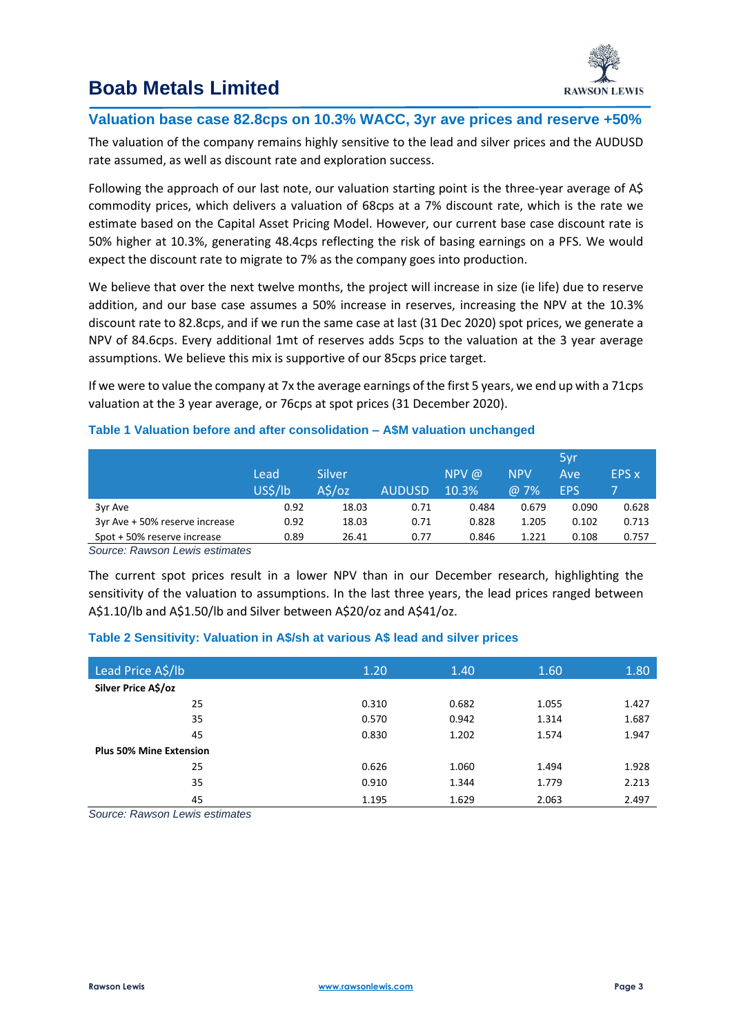

# **Boab Metals Limited**

# **Valuation base case 82.8cps on 10.3% WACC, 3yr ave prices and reserve +50%**

The valuation of the company remains highly sensitive to the lead and silver prices and the AUDUSD rate assumed, as well as discount rate and exploration success.

Following the approach of our last note, our valuation starting point is the three-year average of A\$ commodity prices, which delivers a valuation of 68cps at a 7% discount rate, which is the rate we estimate based on the Capital Asset Pricing Model. However, our current base case discount rate is 50% higher at 10.3%, generating 48.4cps reflecting the risk of basing earnings on a PFS. We would expect the discount rate to migrate to 7% as the company goes into production.

We believe that over the next twelve months, the project will increase in size (ie life) due to reserve addition, and our base case assumes a 50% increase in reserves, increasing the NPV at the 10.3% discount rate to 82.8cps, and if we run the same case at last (31 Dec 2020) spot prices, we generate a NPV of 84.6cps. Every additional 1mt of reserves adds 5cps to the valuation at the 3 year average assumptions. We believe this mix is supportive of our 85cps price target.

If we were to value the company at 7x the average earnings of the first 5 years, we end up with a 71cps valuation at the 3 year average, or 76cps at spot prices (31 December 2020).

### **Table 1 Valuation before and after consolidation – A\$M valuation unchanged**

|                                |         |           |               |          |            | 5yr        |              |
|--------------------------------|---------|-----------|---------------|----------|------------|------------|--------------|
|                                | Lead    | Silver    |               | $NPV$ @  | <b>NPV</b> | Ave        | <b>EPS</b> x |
|                                | US\$/lb | $A\sin 2$ | <b>AUDUSD</b> | $10.3\%$ | @ 7%       | <b>EPS</b> |              |
| 3yr Ave                        | 0.92    | 18.03     | 0.71          | 0.484    | 0.679      | 0.090      | 0.628        |
| 3yr Ave + 50% reserve increase | 0.92    | 18.03     | 0.71          | 0.828    | 1.205      | 0.102      | 0.713        |
| Spot + 50% reserve increase    | 0.89    | 26.41     | 0.77          | 0.846    | 1.221      | 0.108      | 0.757        |

*Source: Rawson Lewis estimates*

The current spot prices result in a lower NPV than in our December research, highlighting the sensitivity of the valuation to assumptions. In the last three years, the lead prices ranged between A\$1.10/lb and A\$1.50/lb and Silver between A\$20/oz and A\$41/oz.

## **Table 2 Sensitivity: Valuation in A\$/sh at various A\$ lead and silver prices**

| Lead Price A\$/lb              | 1.20  | 1.40  | 1.60  | 1.80  |
|--------------------------------|-------|-------|-------|-------|
| Silver Price A\$/oz            |       |       |       |       |
| 25                             | 0.310 | 0.682 | 1.055 | 1.427 |
| 35                             | 0.570 | 0.942 | 1.314 | 1.687 |
| 45                             | 0.830 | 1.202 | 1.574 | 1.947 |
| <b>Plus 50% Mine Extension</b> |       |       |       |       |
| 25                             | 0.626 | 1.060 | 1.494 | 1.928 |
| 35                             | 0.910 | 1.344 | 1.779 | 2.213 |
| 45                             | 1.195 | 1.629 | 2.063 | 2.497 |

*Source: Rawson Lewis estimates*